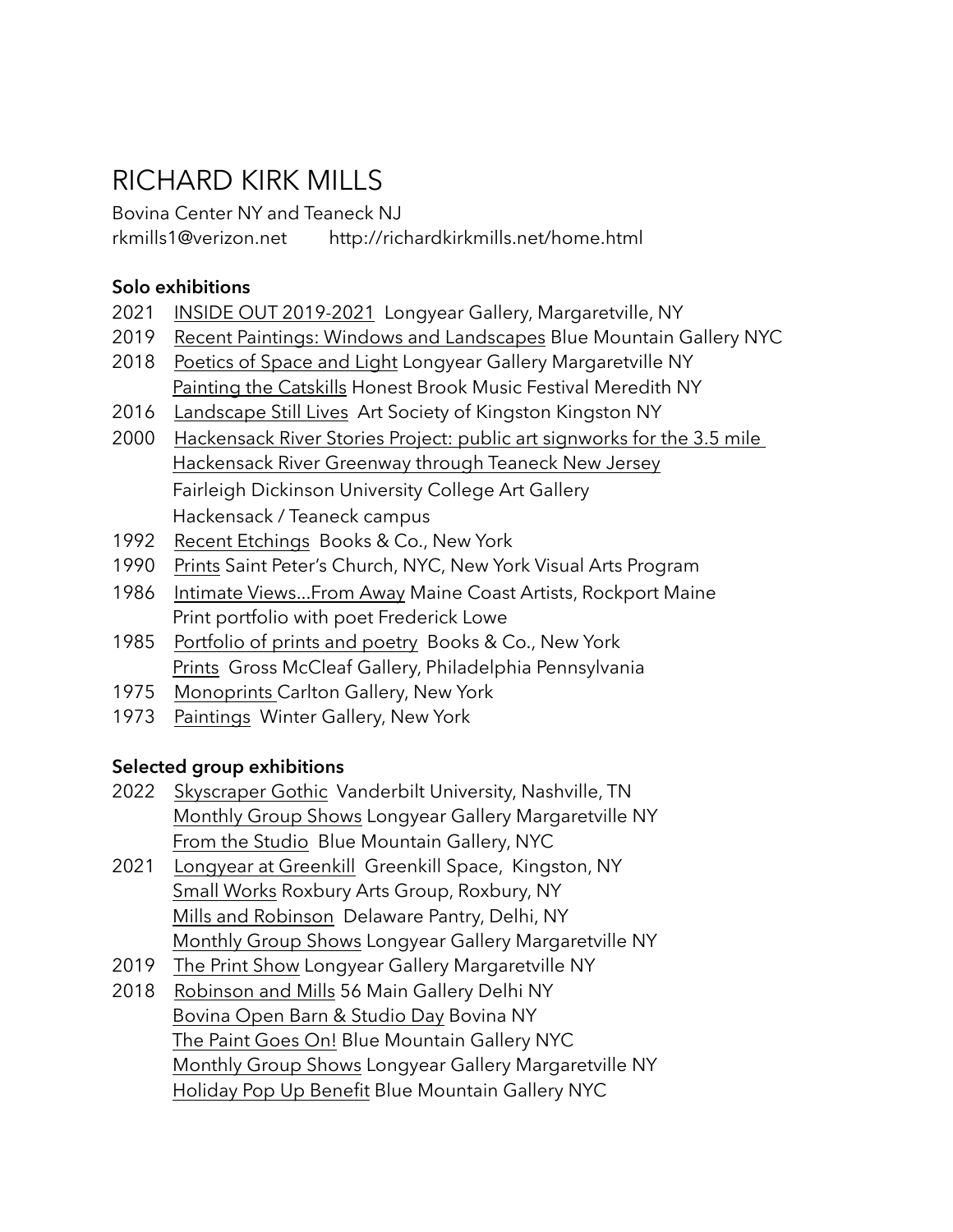# RICHARD KIRK MILLS

Bovina Center NY and Teaneck NJ [rkmills1@verizon.net](mailto:rkmills1@verizon.net) http://richardkirkmills.net/home.html

# **Solo exhibitions**

- 2021 INSIDE OUT 2019-2021 Longyear Gallery, Margaretville, NY
- 2019 Recent Paintings: Windows and Landscapes Blue Mountain Gallery NYC
- 2018 Poetics of Space and Light Longyear Gallery Margaretville NY Painting the Catskills Honest Brook Music Festival Meredith NY
- 2016 Landscape Still Lives Art Society of Kingston Kingston NY
- 2000 Hackensack River Stories Project: public art signworks for the 3.5 mile Hackensack River Greenway through Teaneck New Jersey Fairleigh Dickinson University College Art Gallery Hackensack / Teaneck campus
- 1992 Recent Etchings Books & Co., New York
- 1990 Prints Saint Peter's Church, NYC, New York Visual Arts Program
- 1986 Intimate Views...From Away Maine Coast Artists, Rockport Maine Print portfolio with poet Frederick Lowe
- 1985 Portfolio of prints and poetry Books & Co., New York Prints Gross McCleaf Gallery, Philadelphia Pennsylvania
- 1975 Monoprints Carlton Gallery, New York
- 1973 Paintings Winter Gallery, New York

## **Selected group exhibitions**

- 2022 Skyscraper Gothic Vanderbilt University, Nashville, TN Monthly Group Shows Longyear Gallery Margaretville NY From the Studio Blue Mountain Gallery, NYC
- 2021 Longyear at Greenkill Greenkill Space, Kingston, NY Small Works Roxbury Arts Group, Roxbury, NY Mills and Robinson Delaware Pantry, Delhi, NY Monthly Group Shows Longyear Gallery Margaretville NY
- 2019 The Print Show Longyear Gallery Margaretville NY
- 2018 Robinson and Mills 56 Main Gallery Delhi NY Bovina Open Barn & Studio Day Bovina NY The Paint Goes On! Blue Mountain Gallery NYC Monthly Group Shows Longyear Gallery Margaretville NY Holiday Pop Up Benefit Blue Mountain Gallery NYC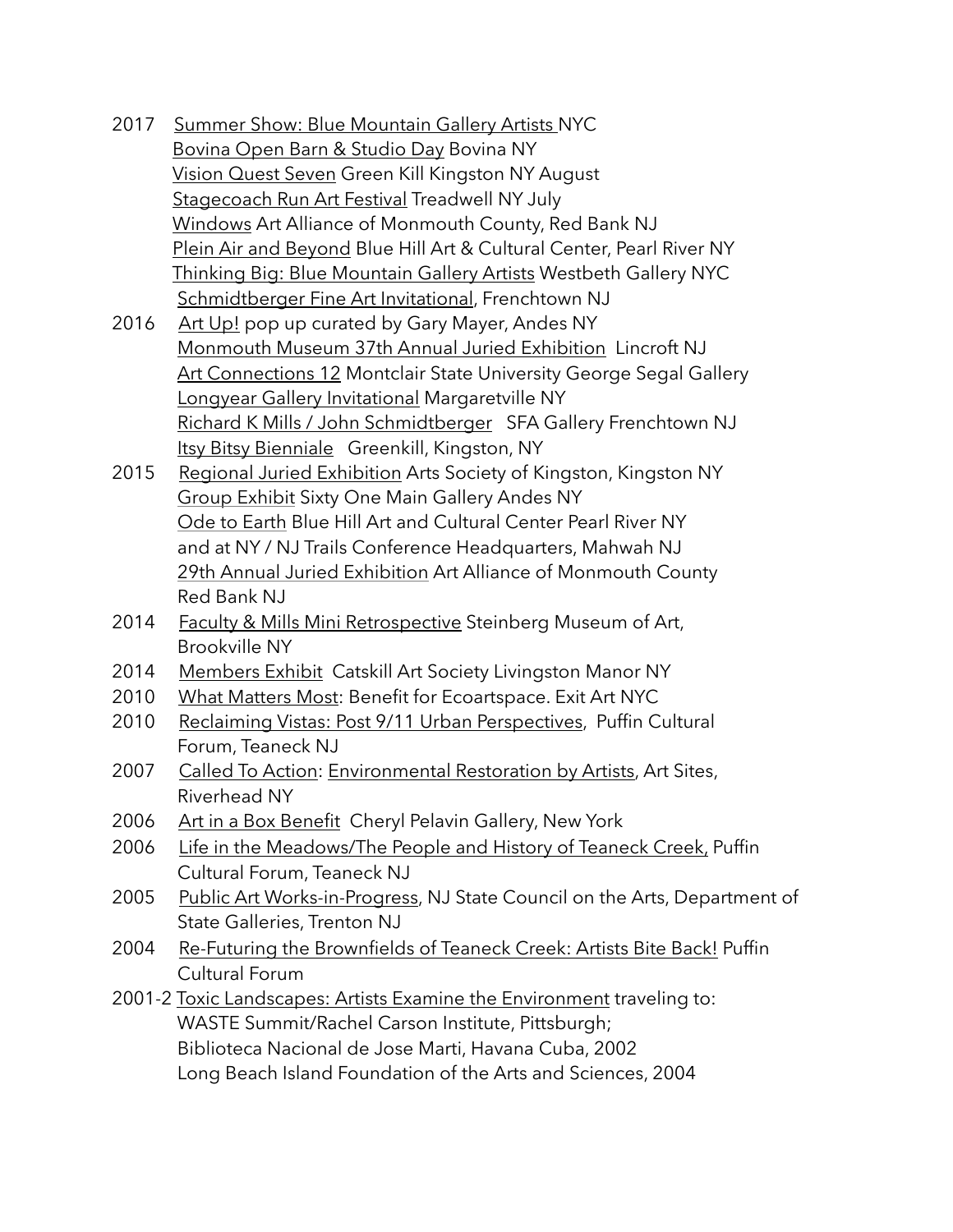- 2017 Summer Show: Blue Mountain Gallery Artists NYC Bovina Open Barn & Studio Day Bovina NY Vision Quest Seven Green Kill Kingston NY August Stagecoach Run Art Festival Treadwell NY July Windows Art Alliance of Monmouth County, Red Bank NJ Plein Air and Beyond Blue Hill Art & Cultural Center, Pearl River NY Thinking Big: Blue Mountain Gallery Artists Westbeth Gallery NYC Schmidtberger Fine Art Invitational, Frenchtown NJ
- 2016 Art Up! pop up curated by Gary Mayer, Andes NY Monmouth Museum 37th Annual Juried Exhibition Lincroft NJ Art Connections 12 Montclair State University George Segal Gallery Longyear Gallery Invitational Margaretville NY Richard K Mills / John Schmidtberger SFA Gallery Frenchtown NJ Itsy Bitsy Bienniale Greenkill, Kingston, NY
- 2015 Regional Juried Exhibition Arts Society of Kingston, Kingston NY Group Exhibit Sixty One Main Gallery Andes NY Ode to Earth Blue Hill Art and Cultural Center Pearl River NY and at NY / NJ Trails Conference Headquarters, Mahwah NJ 29th Annual Juried Exhibition Art Alliance of Monmouth County Red Bank NJ
- 2014 Faculty & Mills Mini Retrospective Steinberg Museum of Art, Brookville NY
- 2014 Members Exhibit Catskill Art Society Livingston Manor NY
- 2010 What Matters Most: Benefit for Ecoartspace. Exit Art NYC
- 2010 Reclaiming Vistas: Post 9/11 Urban Perspectives, Puffin Cultural Forum, Teaneck NJ
- 2007 Called To Action: Environmental Restoration by Artists, Art Sites, Riverhead NY
- 2006 Art in a Box Benefit Cheryl Pelavin Gallery, New York
- 2006 Life in the Meadows/The People and History of Teaneck Creek, Puffin Cultural Forum, Teaneck NJ
- 2005 Public Art Works-in-Progress, NJ State Council on the Arts, Department of State Galleries, Trenton NJ
- 2004 Re-Futuring the Brownfields of Teaneck Creek: Artists Bite Back! Puffin Cultural Forum
- 2001-2 Toxic Landscapes: Artists Examine the Environment traveling to: WASTE Summit/Rachel Carson Institute, Pittsburgh; Biblioteca Nacional de Jose Marti, Havana Cuba, 2002 Long Beach Island Foundation of the Arts and Sciences, 2004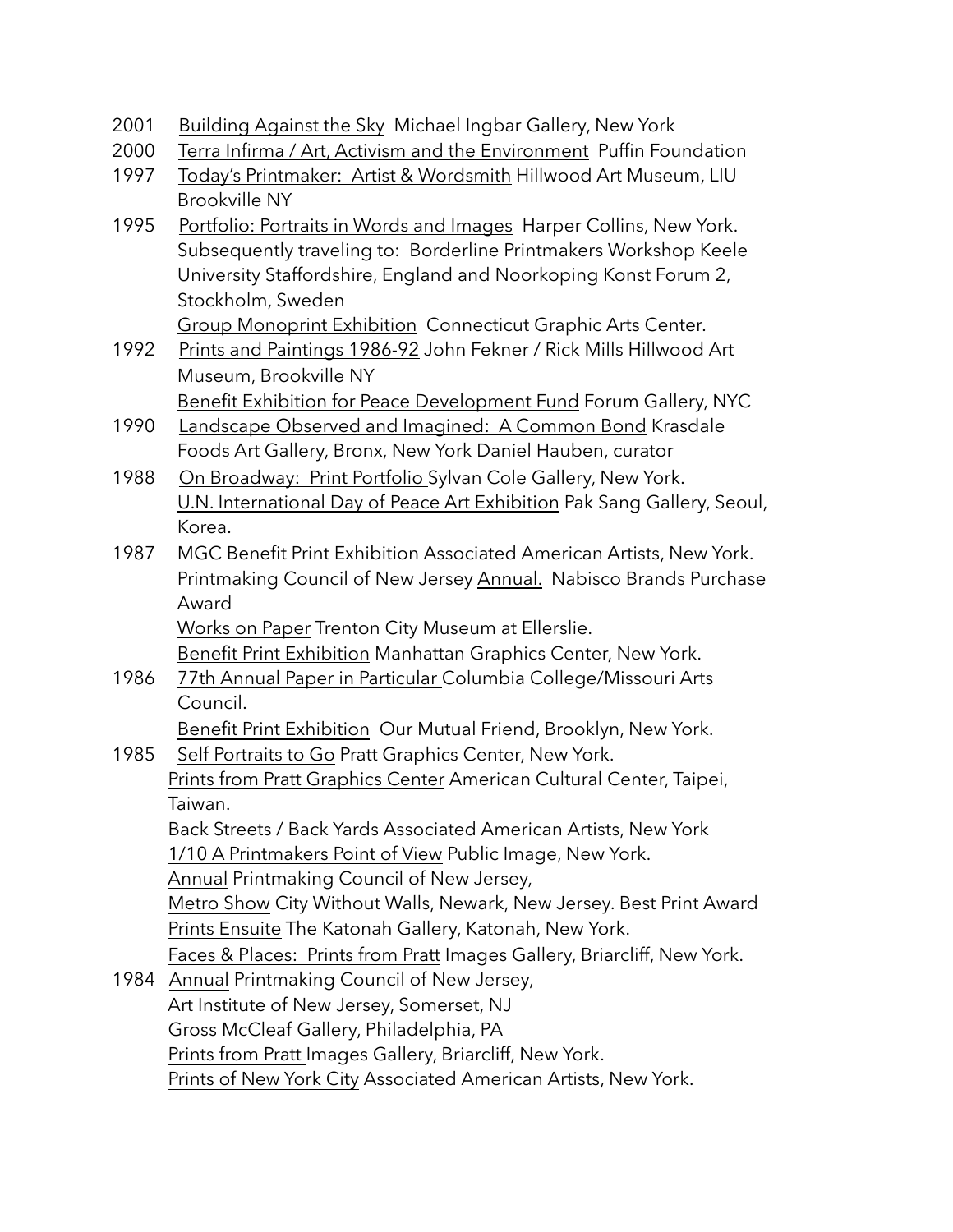2001 Building Against the Sky Michael Ingbar Gallery, New York

- 2000 Terra Infirma / Art, Activism and the Environment Puffin Foundation
- 1997 Today's Printmaker: Artist & Wordsmith Hillwood Art Museum, LIU Brookville NY
- 1995 Portfolio: Portraits in Words and Images Harper Collins, New York. Subsequently traveling to: Borderline Printmakers Workshop Keele University Staffordshire, England and Noorkoping Konst Forum 2, Stockholm, Sweden

Group Monoprint Exhibition Connecticut Graphic Arts Center.

- 1992 Prints and Paintings 1986-92 John Fekner / Rick Mills Hillwood Art Museum, Brookville NY **Benefit Exhibition for Peace Development Fund Forum Gallery, NYC**
- 1990 Landscape Observed and Imagined: A Common Bond Krasdale Foods Art Gallery, Bronx, New York Daniel Hauben, curator
- 1988 On Broadway: Print Portfolio Sylvan Cole Gallery, New York. U.N. International Day of Peace Art Exhibition Pak Sang Gallery, Seoul, Korea.
- 1987 MGC Benefit Print Exhibition Associated American Artists, New York. Printmaking Council of New Jersey Annual. Nabisco Brands Purchase Award

 Works on Paper Trenton City Museum at Ellerslie. Benefit Print Exhibition Manhattan Graphics Center, New York.

1986 77th Annual Paper in Particular Columbia College/Missouri Arts Council.

Benefit Print Exhibition Our Mutual Friend, Brooklyn, New York.

# 1985 Self Portraits to Go Pratt Graphics Center, New York. Prints from Pratt Graphics Center American Cultural Center, Taipei, Taiwan. Back Streets / Back Yards Associated American Artists, New York

 1/10 A Printmakers Point of View Public Image, New York. Annual Printmaking Council of New Jersey, Metro Show City Without Walls, Newark, New Jersey. Best Print Award Prints Ensuite The Katonah Gallery, Katonah, New York.

Faces & Places: Prints from Pratt Images Gallery, Briarcliff, New York.

1984 Annual Printmaking Council of New Jersey, Art Institute of New Jersey, Somerset, NJ Gross McCleaf Gallery, Philadelphia, PA Prints from Pratt Images Gallery, Briarcliff, New York. Prints of New York City Associated American Artists, New York.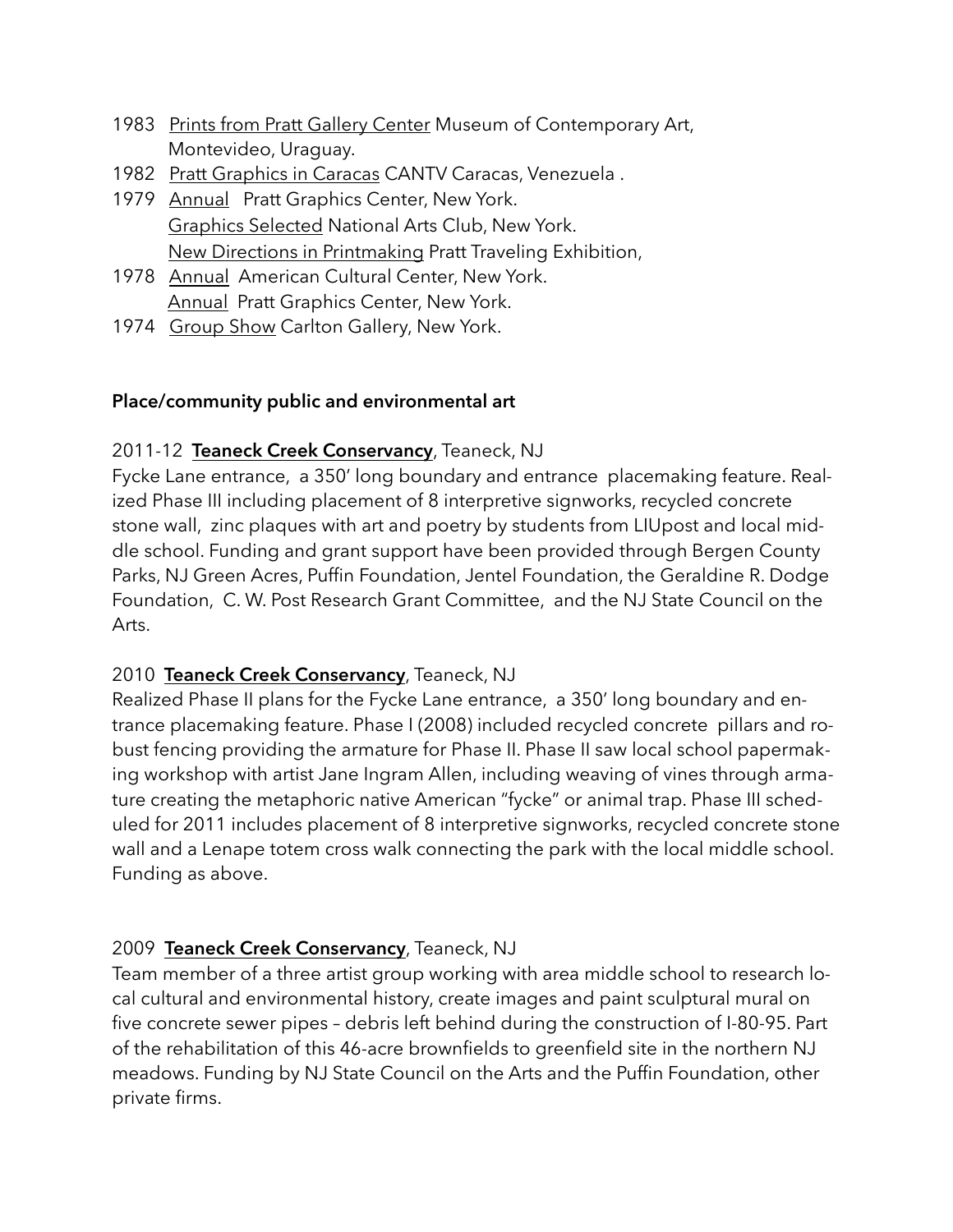- 1983 Prints from Pratt Gallery Center Museum of Contemporary Art, Montevideo, Uraguay.
- 1982 Pratt Graphics in Caracas CANTV Caracas, Venezuela .
- 1979 Annual Pratt Graphics Center, New York. Graphics Selected National Arts Club, New York. New Directions in Printmaking Pratt Traveling Exhibition,
- 1978 Annual American Cultural Center, New York. Annual Pratt Graphics Center, New York.
- 1974 Group Show Carlton Gallery, New York.

## **Place/community public and environmental art**

# 2011-12 **Teaneck Creek Conservancy**, Teaneck, NJ

Fycke Lane entrance, a 350' long boundary and entrance placemaking feature. Realized Phase III including placement of 8 interpretive signworks, recycled concrete stone wall, zinc plaques with art and poetry by students from LIUpost and local middle school. Funding and grant support have been provided through Bergen County Parks, NJ Green Acres, Puffin Foundation, Jentel Foundation, the Geraldine R. Dodge Foundation, C. W. Post Research Grant Committee, and the NJ State Council on the Arts.

# 2010 **Teaneck Creek Conservancy**, Teaneck, NJ

Realized Phase II plans for the Fycke Lane entrance, a 350' long boundary and entrance placemaking feature. Phase I (2008) included recycled concrete pillars and robust fencing providing the armature for Phase II. Phase II saw local school papermaking workshop with artist Jane Ingram Allen, including weaving of vines through armature creating the metaphoric native American "fycke" or animal trap. Phase III scheduled for 2011 includes placement of 8 interpretive signworks, recycled concrete stone wall and a Lenape totem cross walk connecting the park with the local middle school. Funding as above.

# 2009 **Teaneck Creek Conservancy**, Teaneck, NJ

Team member of a three artist group working with area middle school to research local cultural and environmental history, create images and paint sculptural mural on five concrete sewer pipes – debris left behind during the construction of I-80-95. Part of the rehabilitation of this 46-acre brownfields to greenfield site in the northern NJ meadows. Funding by NJ State Council on the Arts and the Puffin Foundation, other private firms.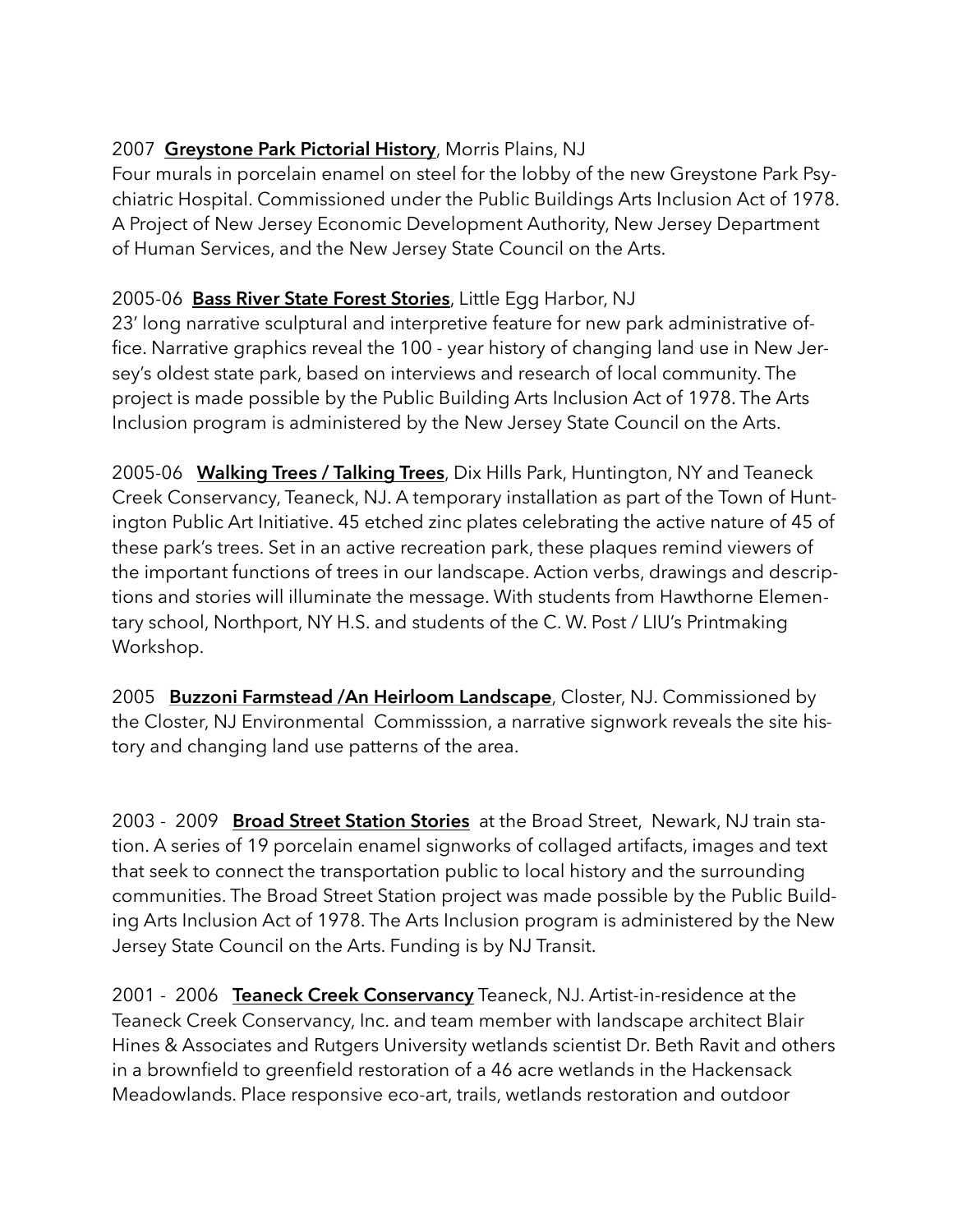# 2007 **Greystone Park Pictorial History**, Morris Plains, NJ

Four murals in porcelain enamel on steel for the lobby of the new Greystone Park Psychiatric Hospital. Commissioned under the Public Buildings Arts Inclusion Act of 1978. A Project of New Jersey Economic Development Authority, New Jersey Department of Human Services, and the New Jersey State Council on the Arts.

# 2005-06 **Bass River State Forest Stories**, Little Egg Harbor, NJ

23' long narrative sculptural and interpretive feature for new park administrative office. Narrative graphics reveal the 100 - year history of changing land use in New Jersey's oldest state park, based on interviews and research of local community. The project is made possible by the Public Building Arts Inclusion Act of 1978. The Arts Inclusion program is administered by the New Jersey State Council on the Arts.

2005-06 **Walking Trees / Talking Trees**, Dix Hills Park, Huntington, NY and Teaneck Creek Conservancy, Teaneck, NJ. A temporary installation as part of the Town of Huntington Public Art Initiative. 45 etched zinc plates celebrating the active nature of 45 of these park's trees. Set in an active recreation park, these plaques remind viewers of the important functions of trees in our landscape. Action verbs, drawings and descriptions and stories will illuminate the message. With students from Hawthorne Elementary school, Northport, NY H.S. and students of the C. W. Post / LIU's Printmaking Workshop.

2005 **Buzzoni Farmstead /An Heirloom Landscape**, Closter, NJ. Commissioned by the Closter, NJ Environmental Commisssion, a narrative signwork reveals the site history and changing land use patterns of the area.

2003 - 2009 **Broad Street Station Stories** at the Broad Street, Newark, NJ train station. A series of 19 porcelain enamel signworks of collaged artifacts, images and text that seek to connect the transportation public to local history and the surrounding communities. The Broad Street Station project was made possible by the Public Building Arts Inclusion Act of 1978. The Arts Inclusion program is administered by the New Jersey State Council on the Arts. Funding is by NJ Transit.

2001 - 2006 **Teaneck Creek Conservancy** Teaneck, NJ. Artist-in-residence at the Teaneck Creek Conservancy, Inc. and team member with landscape architect Blair Hines & Associates and Rutgers University wetlands scientist Dr. Beth Ravit and others in a brownfield to greenfield restoration of a 46 acre wetlands in the Hackensack Meadowlands. Place responsive eco-art, trails, wetlands restoration and outdoor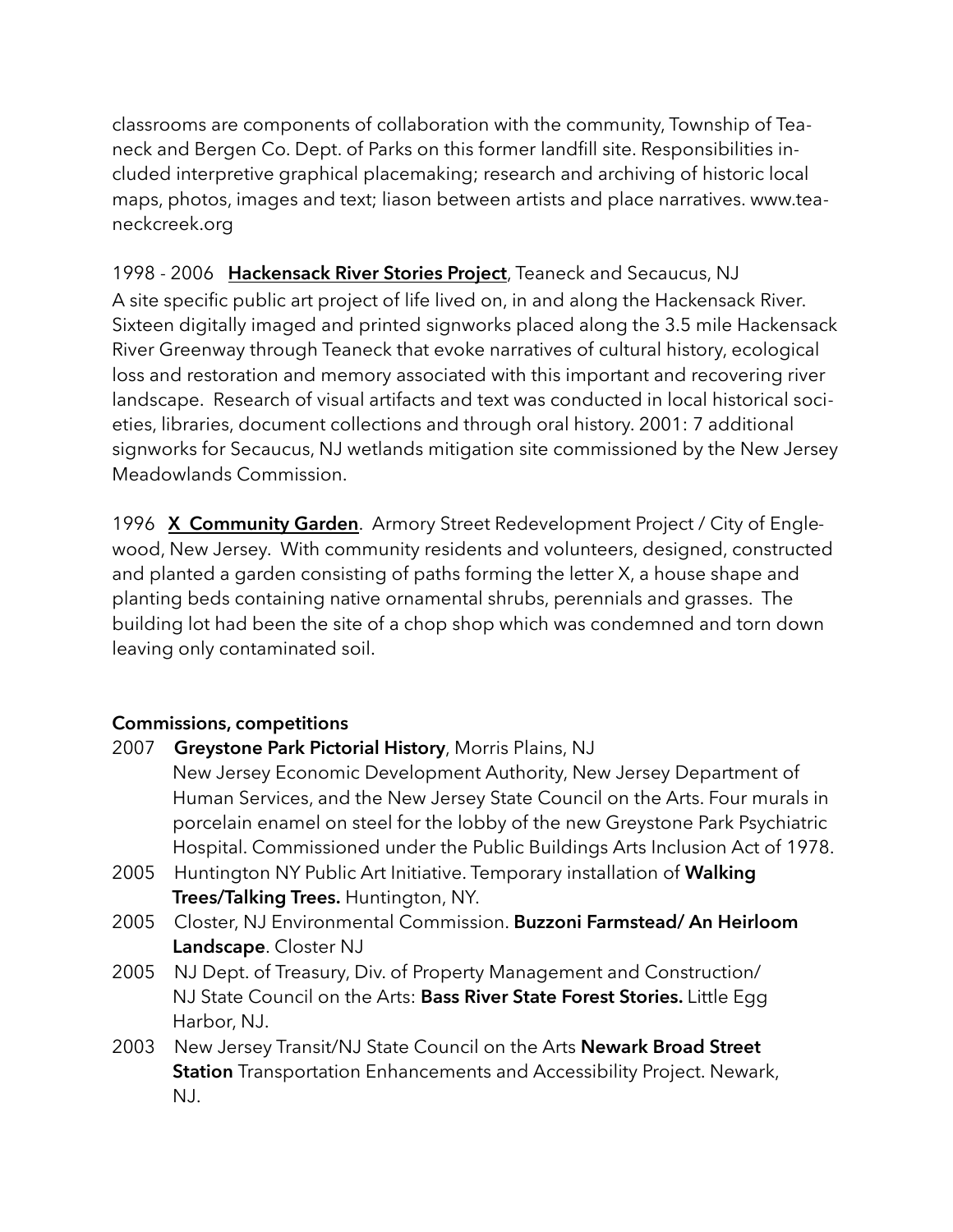classrooms are components of collaboration with the community, Township of Teaneck and Bergen Co. Dept. of Parks on this former landfill site. Responsibilities included interpretive graphical placemaking; research and archiving of historic local maps, photos, images and text; liason between artists and place narratives. www.teaneckcreek.org

1998 - 2006 **Hackensack River Stories Project**, Teaneck and Secaucus, NJ A site specific public art project of life lived on, in and along the Hackensack River. Sixteen digitally imaged and printed signworks placed along the 3.5 mile Hackensack River Greenway through Teaneck that evoke narratives of cultural history, ecological loss and restoration and memory associated with this important and recovering river landscape. Research of visual artifacts and text was conducted in local historical societies, libraries, document collections and through oral history. 2001: 7 additional signworks for Secaucus, NJ wetlands mitigation site commissioned by the New Jersey Meadowlands Commission.

1996 **X Community Garden**. Armory Street Redevelopment Project / City of Englewood, New Jersey. With community residents and volunteers, designed, constructed and planted a garden consisting of paths forming the letter X, a house shape and planting beds containing native ornamental shrubs, perennials and grasses. The building lot had been the site of a chop shop which was condemned and torn down leaving only contaminated soil.

## **Commissions, competitions**

2007 **Greystone Park Pictorial History**, Morris Plains, NJ New Jersey Economic Development Authority, New Jersey Department of Human Services, and the New Jersey State Council on the Arts. Four murals in porcelain enamel on steel for the lobby of the new Greystone Park Psychiatric Hospital. Commissioned under the Public Buildings Arts Inclusion Act of 1978. 2005 Huntington NY Public Art Initiative. Temporary installation of **Walking Trees/Talking Trees.** Huntington, NY. 2005 Closter, NJ Environmental Commission. **Buzzoni Farmstead/ An Heirloom Landscape**. Closter NJ 2005 NJ Dept. of Treasury, Div. of Property Management and Construction/ NJ State Council on the Arts: **Bass River State Forest Stories.** Little Egg Harbor, NJ. 2003 New Jersey Transit/NJ State Council on the Arts **Newark Broad Street Station** Transportation Enhancements and Accessibility Project. Newark, NJ.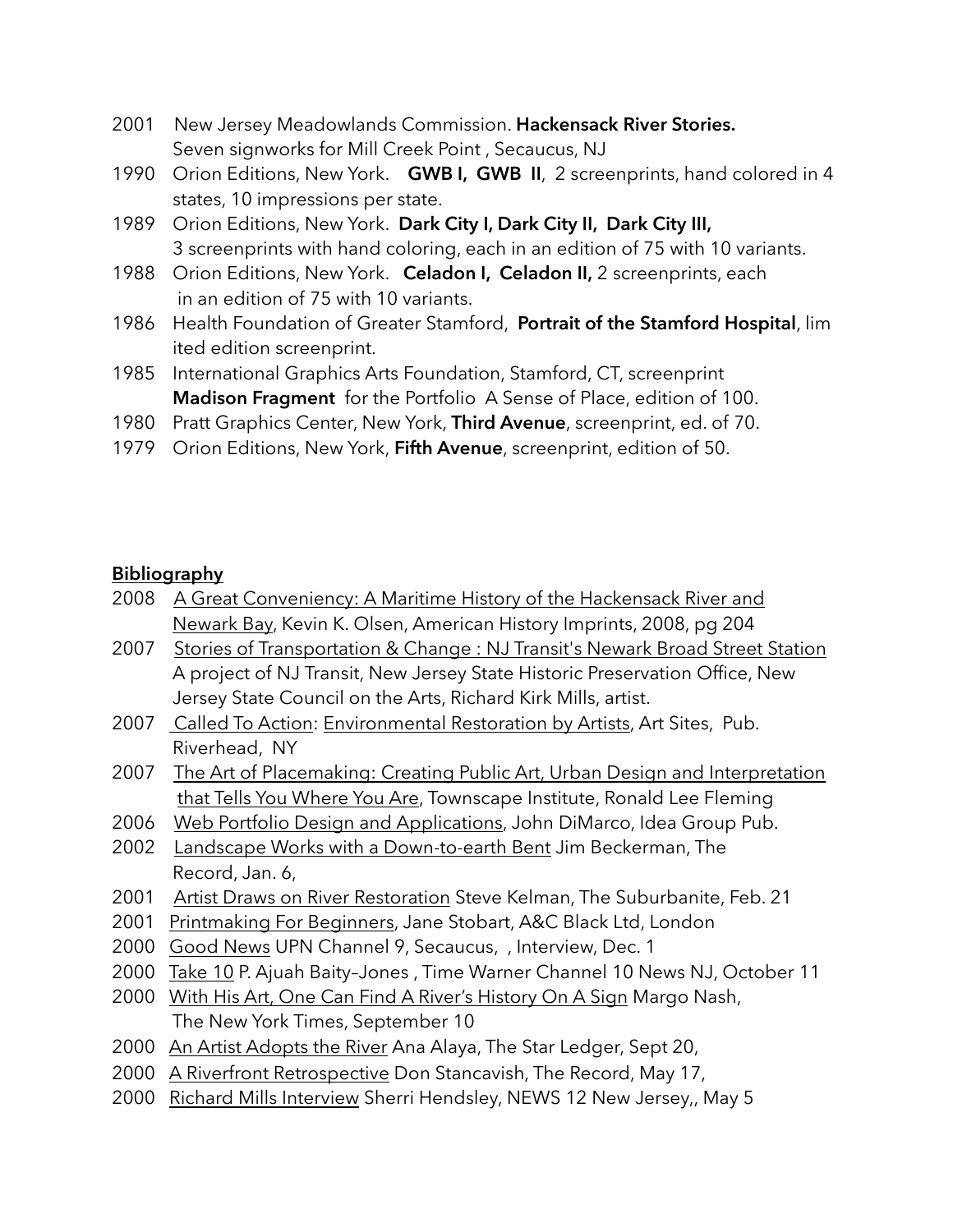- 2001 New Jersey Meadowlands Commission. **Hackensack River Stories.** Seven signworks for Mill Creek Point , Secaucus, NJ
- 1990 Orion Editions, New York. **GWB I, GWB II**, 2 screenprints, hand colored in 4 states, 10 impressions per state.
- 1989 Orion Editions, New York. **Dark City I, Dark City II, Dark City III,** 3 screenprints with hand coloring, each in an edition of 75 with 10 variants.
- 1988 Orion Editions, New York. **Celadon I, Celadon II,** 2 screenprints, each in an edition of 75 with 10 variants.
- 1986 Health Foundation of Greater Stamford, **Portrait of the Stamford Hospital**, lim ited edition screenprint.
- 1985 International Graphics Arts Foundation, Stamford, CT, screenprint **Madison Fragment** for the Portfolio A Sense of Place, edition of 100.
- 1980 Pratt Graphics Center, New York, **Third Avenue**, screenprint, ed. of 70.
- 1979 Orion Editions, New York, **Fifth Avenue**, screenprint, edition of 50.

## **Bibliography**

| 2008 A Great Conveniency: A Maritime History of the Hackensack River and |  |
|--------------------------------------------------------------------------|--|
| Newark Bay, Kevin K. Olsen, American History Imprints, 2008, pg 204      |  |

- 2007 Stories of Transportation & Change : NJ Transit's Newark Broad Street Station A project of NJ Transit, New Jersey State Historic Preservation Office, New Jersey State Council on the Arts, Richard Kirk Mills, artist.
- 2007 Called To Action: Environmental Restoration by Artists, Art Sites, Pub. Riverhead, NY
- 2007 The Art of Placemaking: Creating Public Art, Urban Design and Interpretation that Tells You Where You Are, Townscape Institute, Ronald Lee Fleming
- 2006 Web Portfolio Design and Applications, John DiMarco, Idea Group Pub.
- 2002 Landscape Works with a Down-to-earth Bent Jim Beckerman, The Record, Jan. 6,
- 2001 Artist Draws on River Restoration Steve Kelman, The Suburbanite, Feb. 21
- 2001 Printmaking For Beginners, Jane Stobart, A&C Black Ltd, London
- 2000 Good News UPN Channel 9, Secaucus, , Interview, Dec. 1
- 2000 Take 10 P. Ajuah Baity–Jones , Time Warner Channel 10 News NJ, October 11
- 2000 With His Art, One Can Find A River's History On A Sign Margo Nash, The New York Times, September 10
- 2000 An Artist Adopts the River Ana Alaya, The Star Ledger, Sept 20,
- 2000 A Riverfront Retrospective Don Stancavish, The Record, May 17,
- 2000 Richard Mills Interview Sherri Hendsley, NEWS 12 New Jersey,, May 5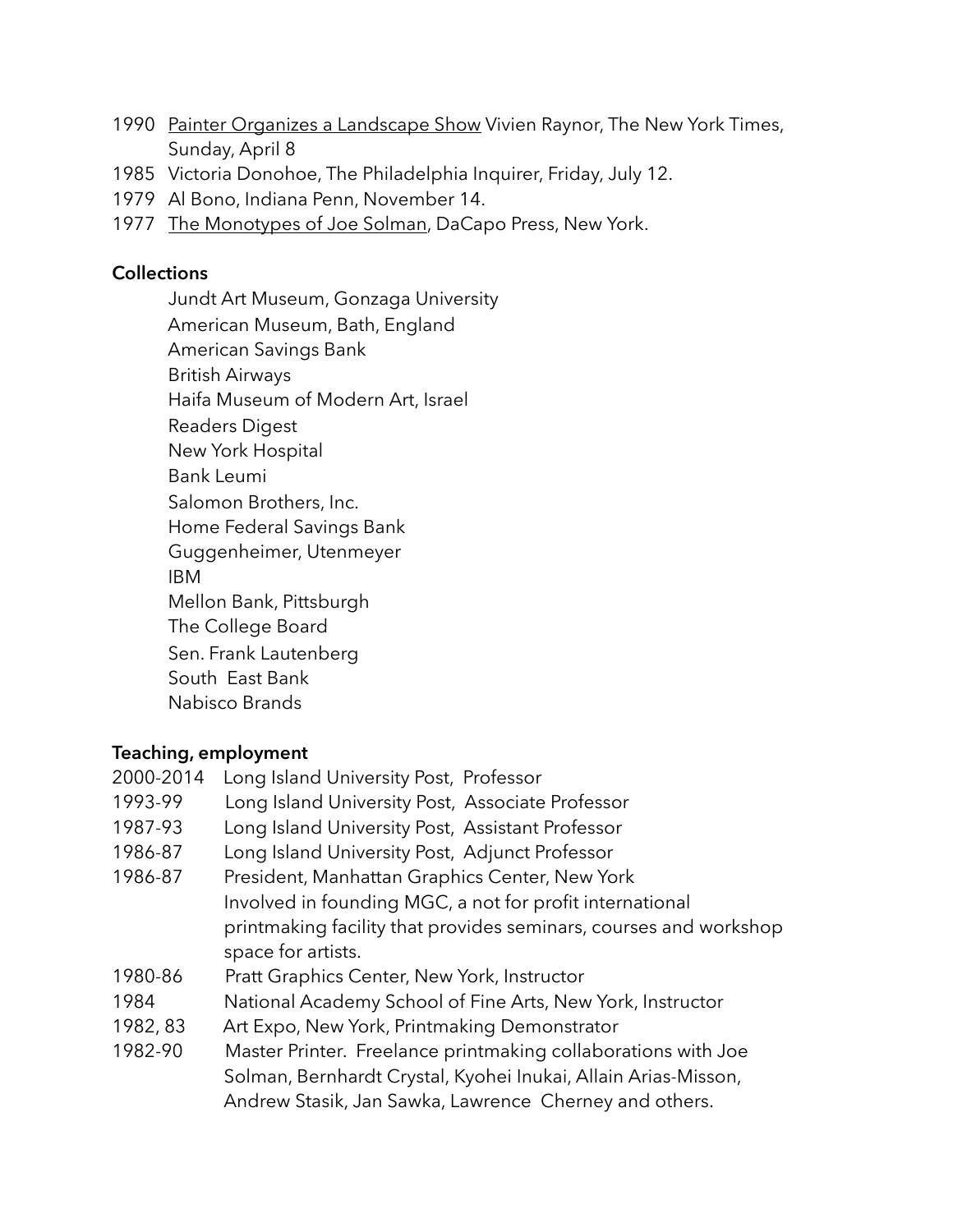- 1990 Painter Organizes a Landscape Show Vivien Raynor, The New York Times, Sunday, April 8
- 1985 Victoria Donohoe, The Philadelphia Inquirer, Friday, July 12.
- 1979 Al Bono, Indiana Penn, November 14.
- 1977 The Monotypes of Joe Solman, DaCapo Press, New York.

#### **Collections**

Jundt Art Museum, Gonzaga University American Museum, Bath, England American Savings Bank British Airways Haifa Museum of Modern Art, Israel Readers Digest New York Hospital Bank Leumi Salomon Brothers, Inc. Home Federal Savings Bank Guggenheimer, Utenmeyer IBM Mellon Bank, Pittsburgh The College Board Sen. Frank Lautenberg South East Bank Nabisco Brands

## **Teaching, employment**

2000-2014 Long Island University Post, Professor 1993-99 Long Island University Post, Associate Professor 1987-93 Long Island University Post, Assistant Professor 1986-87 Long Island University Post, Adjunct Professor 1986-87 President, Manhattan Graphics Center, New York Involved in founding MGC, a not for profit international printmaking facility that provides seminars, courses and workshop space for artists. 1980-86 Pratt Graphics Center, New York, Instructor 1984 National Academy School of Fine Arts, New York, Instructor 1982, 83 Art Expo, New York, Printmaking Demonstrator 1982-90 Master Printer. Freelance printmaking collaborations with Joe Solman, Bernhardt Crystal, Kyohei Inukai, Allain Arias-Misson, Andrew Stasik, Jan Sawka, Lawrence Cherney and others.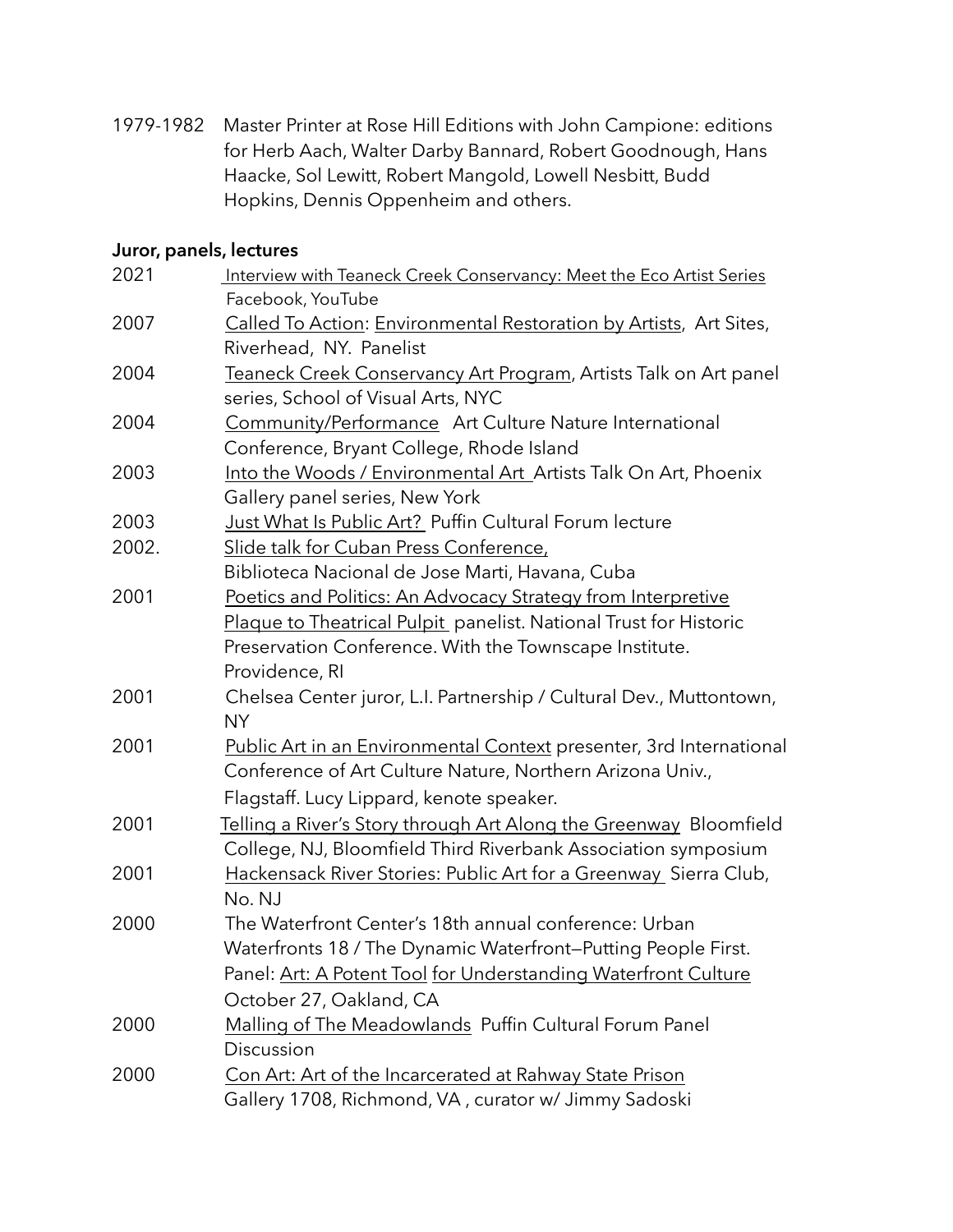1979-1982 Master Printer at Rose Hill Editions with John Campione: editions for Herb Aach, Walter Darby Bannard, Robert Goodnough, Hans Haacke, Sol Lewitt, Robert Mangold, Lowell Nesbitt, Budd Hopkins, Dennis Oppenheim and others.

#### **Juror, panels, lectures**

| 2021  | Interview with Teaneck Creek Conservancy: Meet the Eco Artist Series |
|-------|----------------------------------------------------------------------|
|       | Facebook, YouTube                                                    |
| 2007  | Called To Action: Environmental Restoration by Artists, Art Sites,   |
|       | Riverhead, NY. Panelist                                              |
| 2004  | Teaneck Creek Conservancy Art Program, Artists Talk on Art panel     |
|       | series, School of Visual Arts, NYC                                   |
| 2004  | Community/Performance Art Culture Nature International               |
|       | Conference, Bryant College, Rhode Island                             |
| 2003  | Into the Woods / Environmental Art_Artists Talk On Art, Phoenix      |
|       | Gallery panel series, New York                                       |
| 2003  | Just What Is Public Art? Puffin Cultural Forum lecture               |
| 2002. | Slide talk for Cuban Press Conference,                               |
|       | Biblioteca Nacional de Jose Marti, Havana, Cuba                      |
| 2001  | Poetics and Politics: An Advocacy Strategy from Interpretive         |
|       | Plaque to Theatrical Pulpit panelist. National Trust for Historic    |
|       | Preservation Conference. With the Townscape Institute.               |
|       | Providence, RI                                                       |
| 2001  | Chelsea Center juror, L.I. Partnership / Cultural Dev., Muttontown,  |
|       | <b>NY</b>                                                            |
| 2001  | Public Art in an Environmental Context presenter, 3rd International  |
|       | Conference of Art Culture Nature, Northern Arizona Univ.,            |
|       | Flagstaff. Lucy Lippard, kenote speaker.                             |
| 2001  | Telling a River's Story through Art Along the Greenway Bloomfield    |
|       | College, NJ, Bloomfield Third Riverbank Association symposium        |
| 2001  | Hackensack River Stories: Public Art for a Greenway Sierra Club,     |
|       | No. NJ                                                               |
| 2000  | The Waterfront Center's 18th annual conference: Urban                |
|       | Waterfronts 18 / The Dynamic Waterfront-Putting People First.        |
|       | Panel: Art: A Potent Tool for Understanding Waterfront Culture       |
|       | October 27, Oakland, CA                                              |
| 2000  | Malling of The Meadowlands Puffin Cultural Forum Panel               |
|       | Discussion                                                           |
| 2000  | Con Art: Art of the Incarcerated at Rahway State Prison              |
|       | Gallery 1708, Richmond, VA, curator w/ Jimmy Sadoski                 |
|       |                                                                      |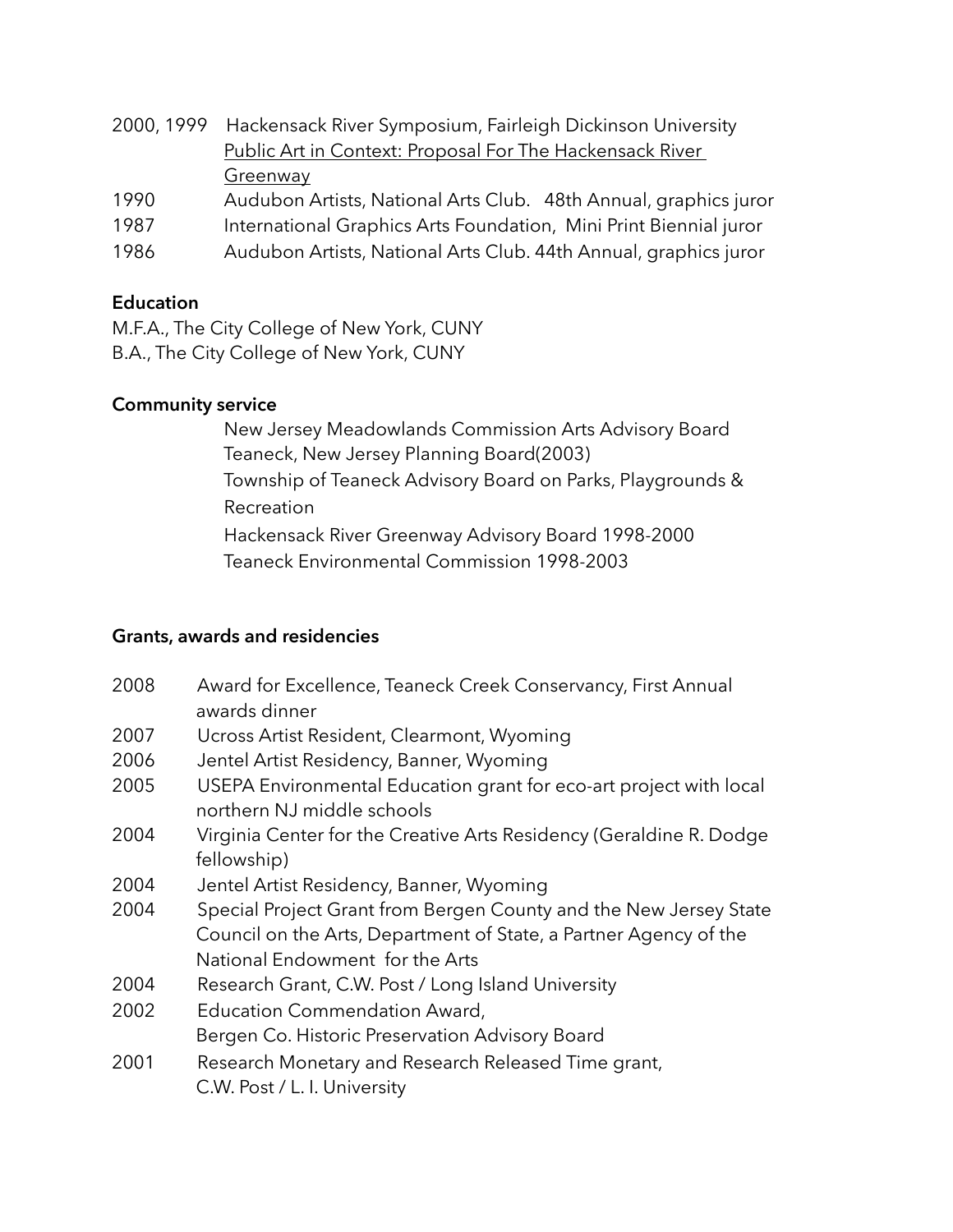- 2000, 1999 Hackensack River Symposium, Fairleigh Dickinson University Public Art in Context: Proposal For The Hackensack River Greenway
- 1990 Audubon Artists, National Arts Club. 48th Annual, graphics juror
- 1987 International Graphics Arts Foundation, Mini Print Biennial juror
- 1986 Audubon Artists, National Arts Club. 44th Annual, graphics juror

#### **Education**

M.F.A., The City College of New York, CUNY B.A., The City College of New York, CUNY

#### **Community service**

 New Jersey Meadowlands Commission Arts Advisory Board Teaneck, New Jersey Planning Board(2003) Township of Teaneck Advisory Board on Parks, Playgrounds & Recreation Hackensack River Greenway Advisory Board 1998-2000 Teaneck Environmental Commission 1998-2003

## **Grants, awards and residencies**

| 2008 | Award for Excellence, Teaneck Creek Conservancy, First Annual<br>awards dinner                                                                                            |
|------|---------------------------------------------------------------------------------------------------------------------------------------------------------------------------|
| 2007 | Ucross Artist Resident, Clearmont, Wyoming                                                                                                                                |
| 2006 | Jentel Artist Residency, Banner, Wyoming                                                                                                                                  |
| 2005 | USEPA Environmental Education grant for eco-art project with local<br>northern NJ middle schools                                                                          |
| 2004 | Virginia Center for the Creative Arts Residency (Geraldine R. Dodge<br>fellowship)                                                                                        |
| 2004 | Jentel Artist Residency, Banner, Wyoming                                                                                                                                  |
| 2004 | Special Project Grant from Bergen County and the New Jersey State<br>Council on the Arts, Department of State, a Partner Agency of the<br>National Endowment for the Arts |
| 2004 | Research Grant, C.W. Post / Long Island University                                                                                                                        |
| 2002 | Education Commendation Award,                                                                                                                                             |
|      | Bergen Co. Historic Preservation Advisory Board                                                                                                                           |
| 2001 | Research Monetary and Research Released Time grant,<br>C.W. Post / L. I. University                                                                                       |